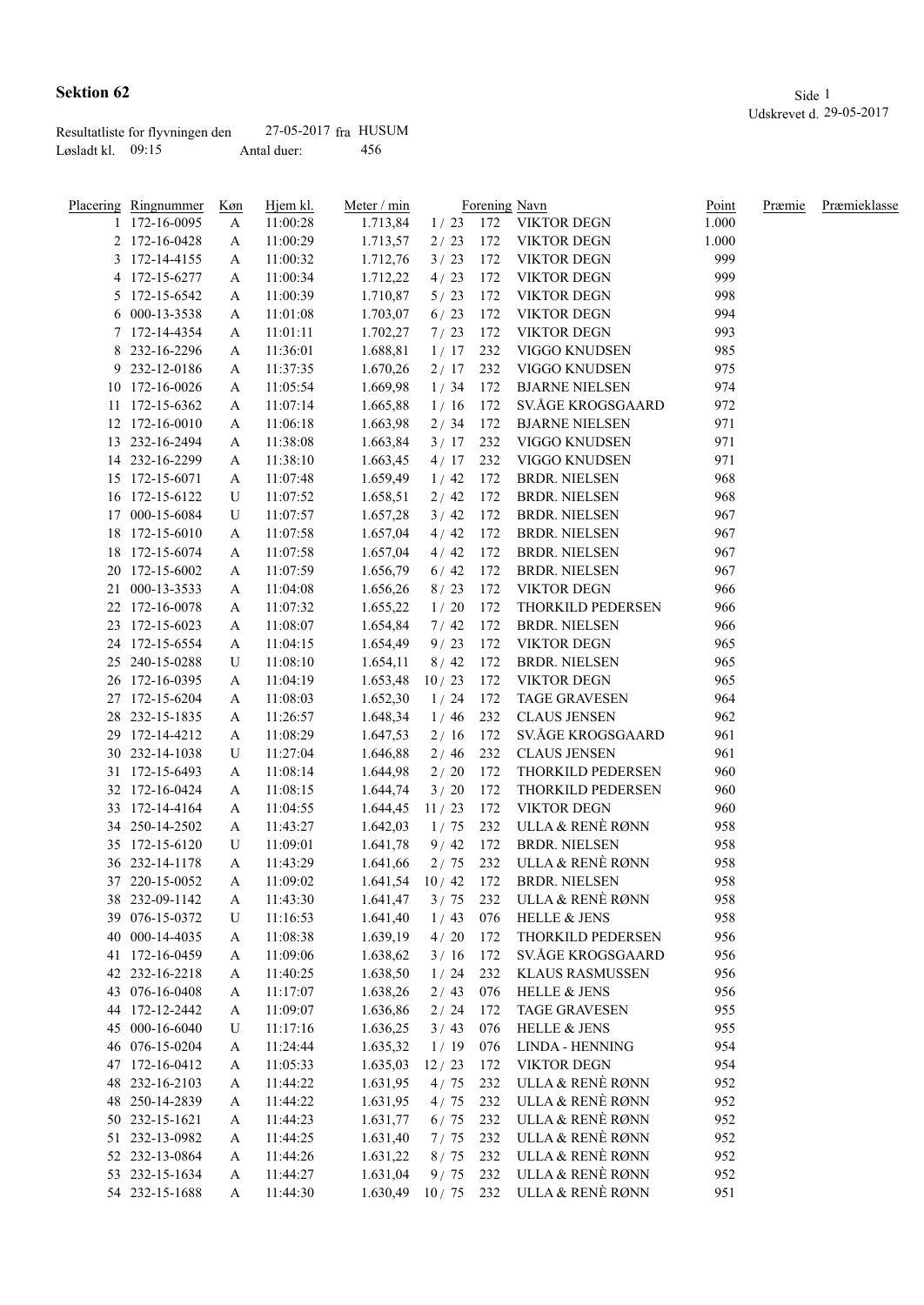|                   | Resultatliste for flyvningen den | 27-05-2017 fra HUSUM |      |
|-------------------|----------------------------------|----------------------|------|
| Løsladt kl. 09:15 |                                  | Antal duer:          | -456 |

|    | Placering Ringnummer<br>1 172-16-0095 | Køn<br>A | Hjem kl.<br>11:00:28 | Meter / min<br>1.713,84 | 1/23   | 172 | Forening Navn<br><b>VIKTOR DEGN</b> | Point<br>1.000 | Præmie | Præmieklasse |
|----|---------------------------------------|----------|----------------------|-------------------------|--------|-----|-------------------------------------|----------------|--------|--------------|
|    | 2 172-16-0428                         | A        | 11:00:29             | 1.713,57                | 2/23   | 172 | <b>VIKTOR DEGN</b>                  | 1.000          |        |              |
|    | 3 172-14-4155                         | A        | 11:00:32             | 1.712,76                | 3/23   | 172 | <b>VIKTOR DEGN</b>                  | 999            |        |              |
|    | 4 172-15-6277                         | A        | 11:00:34             | 1.712,22                | 4/23   | 172 | <b>VIKTOR DEGN</b>                  | 999            |        |              |
|    | 5 172-15-6542                         | A        | 11:00:39             | 1.710,87                | 5/23   | 172 | <b>VIKTOR DEGN</b>                  | 998            |        |              |
|    | 6 000-13-3538                         | A        | 11:01:08             | 1.703,07                | 6/23   | 172 | <b>VIKTOR DEGN</b>                  | 994            |        |              |
|    | 7 172-14-4354                         | A        | 11:01:11             | 1.702,27                | 7/23   | 172 | <b>VIKTOR DEGN</b>                  | 993            |        |              |
|    | 8 232-16-2296                         |          | 11:36:01             | 1.688,81                | 1/17   | 232 | VIGGO KNUDSEN                       | 985            |        |              |
|    | 9 232-12-0186                         | A        | 11:37:35             | 1.670,26                | 2/17   | 232 | VIGGO KNUDSEN                       | 975            |        |              |
|    | 10 172-16-0026                        | A        |                      |                         | 1/34   | 172 | <b>BJARNE NIELSEN</b>               | 974            |        |              |
|    | 11 172-15-6362                        | A<br>A   | 11:05:54<br>11:07:14 | 1.669,98<br>1.665,88    | 1/16   | 172 | SV.ÅGE KROGSGAARD                   | 972            |        |              |
|    | 12 172-16-0010                        |          | 11:06:18             | 1.663,98                | 2/34   | 172 | <b>BJARNE NIELSEN</b>               | 971            |        |              |
|    | 13 232-16-2494                        | A        | 11:38:08             | 1.663,84                | 3/17   | 232 | VIGGO KNUDSEN                       | 971            |        |              |
|    |                                       | A        |                      |                         |        | 232 |                                     | 971            |        |              |
|    | 14 232-16-2299                        | A        | 11:38:10             | 1.663,45                | 4/17   | 172 | VIGGO KNUDSEN                       | 968            |        |              |
|    | 15 172-15-6071<br>16 172-15-6122      | A        | 11:07:48             | 1.659,49                | 1/42   | 172 | <b>BRDR. NIELSEN</b>                | 968            |        |              |
|    | 17 000-15-6084                        | U        | 11:07:52             | 1.658,51                | 2/42   | 172 | <b>BRDR. NIELSEN</b>                | 967            |        |              |
|    |                                       | U        | 11:07:57             | 1.657,28                | 3/42   |     | <b>BRDR. NIELSEN</b>                |                |        |              |
|    | 18 172-15-6010                        | A        | 11:07:58             | 1.657,04                | 4/42   | 172 | <b>BRDR. NIELSEN</b>                | 967            |        |              |
|    | 18 172-15-6074                        | A        | 11:07:58             | 1.657,04                | 4/42   | 172 | <b>BRDR. NIELSEN</b>                | 967            |        |              |
|    | 20 172-15-6002                        | A        | 11:07:59             | 1.656,79                | 6/42   | 172 | <b>BRDR. NIELSEN</b>                | 967            |        |              |
|    | 21 000-13-3533                        | A        | 11:04:08             | 1.656,26                | 8/23   | 172 | <b>VIKTOR DEGN</b>                  | 966            |        |              |
|    | 22 172-16-0078                        | A        | 11:07:32             | 1.655,22                | 1/20   | 172 | THORKILD PEDERSEN                   | 966            |        |              |
|    | 23 172-15-6023                        | A        | 11:08:07             | 1.654,84                | 7/42   | 172 | <b>BRDR. NIELSEN</b>                | 966            |        |              |
|    | 24 172-15-6554                        | A        | 11:04:15             | 1.654,49                | 9/23   | 172 | <b>VIKTOR DEGN</b>                  | 965            |        |              |
|    | 25 240-15-0288                        | U        | 11:08:10             | 1.654,11                | 8/42   | 172 | <b>BRDR. NIELSEN</b>                | 965            |        |              |
|    | 26 172-16-0395                        | A        | 11:04:19             | 1.653,48                | 10/23  | 172 | <b>VIKTOR DEGN</b>                  | 965            |        |              |
|    | 27 172-15-6204                        | A        | 11:08:03             | 1.652,30                | 1/24   | 172 | <b>TAGE GRAVESEN</b>                | 964            |        |              |
|    | 28 232-15-1835                        | A        | 11:26:57             | 1.648,34                | 1/46   | 232 | <b>CLAUS JENSEN</b>                 | 962            |        |              |
|    | 29 172-14-4212                        | A        | 11:08:29             | 1.647,53                | 2/16   | 172 | SV.ÅGE KROGSGAARD                   | 961            |        |              |
|    | 30 232-14-1038                        | U        | 11:27:04             | 1.646,88                | 2/46   | 232 | <b>CLAUS JENSEN</b>                 | 961            |        |              |
| 31 | 172-15-6493                           | A        | 11:08:14             | 1.644,98                | 2/20   | 172 | THORKILD PEDERSEN                   | 960            |        |              |
|    | 32 172-16-0424                        | A        | 11:08:15             | 1.644,74                | $3/20$ | 172 | THORKILD PEDERSEN                   | 960            |        |              |
|    | 33 172-14-4164                        | A        | 11:04:55             | 1.644,45                | 11/23  | 172 | <b>VIKTOR DEGN</b>                  | 960            |        |              |
|    | 34 250-14-2502                        | A        | 11:43:27             | 1.642,03                | 1/75   | 232 | ULLA & RENÈ RØNN                    | 958            |        |              |
|    | 35 172-15-6120                        | U        | 11:09:01             | 1.641,78                | 9/42   | 172 | <b>BRDR. NIELSEN</b>                | 958            |        |              |
|    | 36 232-14-1178                        | A        | 11:43:29             | 1.641,66                | 2/75   | 232 | ULLA & RENÈ RØNN                    | 958            |        |              |
|    | 37 220-15-0052                        | A        | 11:09:02             | 1.641,54                | 10/42  | 172 | <b>BRDR. NIELSEN</b>                | 958            |        |              |
|    | 38 232-09-1142                        | A        | 11:43:30             | 1.641,47                | 3/75   | 232 | ULLA & RENÈ RØNN                    | 958            |        |              |
|    | 39 076-15-0372                        | U        | 11:16:53             | 1.641,40                | 1/43   | 076 | HELLE & JENS                        | 958            |        |              |
|    | 40 000-14-4035                        | A        | 11:08:38             | 1.639,19                | $4/20$ | 172 | THORKILD PEDERSEN                   | 956            |        |              |
|    | 41 172-16-0459                        | A        | 11:09:06             | 1.638,62                | 3/16   | 172 | SV.ÅGE KROGSGAARD                   | 956            |        |              |
|    | 42 232-16-2218                        | A        | 11:40:25             | 1.638,50                | 1/24   | 232 | <b>KLAUS RASMUSSEN</b>              | 956            |        |              |
|    | 43 076-16-0408                        | A        | 11:17:07             | 1.638,26                | 2/43   | 076 | HELLE & JENS                        | 956            |        |              |
|    | 44 172-12-2442                        | A        | 11:09:07             | 1.636,86                | 2/24   | 172 | <b>TAGE GRAVESEN</b>                | 955            |        |              |
|    | 45 000-16-6040                        | U        | 11:17:16             | 1.636,25                | 3/43   | 076 | HELLE & JENS                        | 955            |        |              |
|    | 46 076-15-0204                        | A        | 11:24:44             | 1.635,32                | 1/19   | 076 | LINDA - HENNING                     | 954            |        |              |
|    | 47 172-16-0412                        | A        | 11:05:33             | 1.635,03                | 12/23  | 172 | <b>VIKTOR DEGN</b>                  | 954            |        |              |
|    | 48 232-16-2103                        | A        | 11:44:22             | 1.631,95                | 4/75   | 232 | ULLA & RENÈ RØNN                    | 952            |        |              |
|    | 48 250-14-2839                        | A        | 11:44:22             | 1.631,95                | 4/75   | 232 | ULLA & RENÈ RØNN                    | 952            |        |              |
|    | 50 232-15-1621                        | A        | 11:44:23             | 1.631,77                | $6/75$ | 232 | ULLA & RENÈ RØNN                    | 952            |        |              |
|    | 51 232-13-0982                        | A        | 11:44:25             | 1.631,40                | 7/75   | 232 | ULLA & RENÈ RØNN                    | 952            |        |              |
|    | 52 232-13-0864                        | A        | 11:44:26             | 1.631,22                | 8/75   | 232 | ULLA & RENÈ RØNN                    | 952            |        |              |
|    | 53 232-15-1634                        | A        | 11:44:27             | 1.631,04                | 9/75   | 232 | ULLA & RENÈ RØNN                    | 952            |        |              |
|    | 54 232-15-1688                        | A        | 11:44:30             | 1.630,49                | 10/75  | 232 | ULLA & RENÈ RØNN                    | 951            |        |              |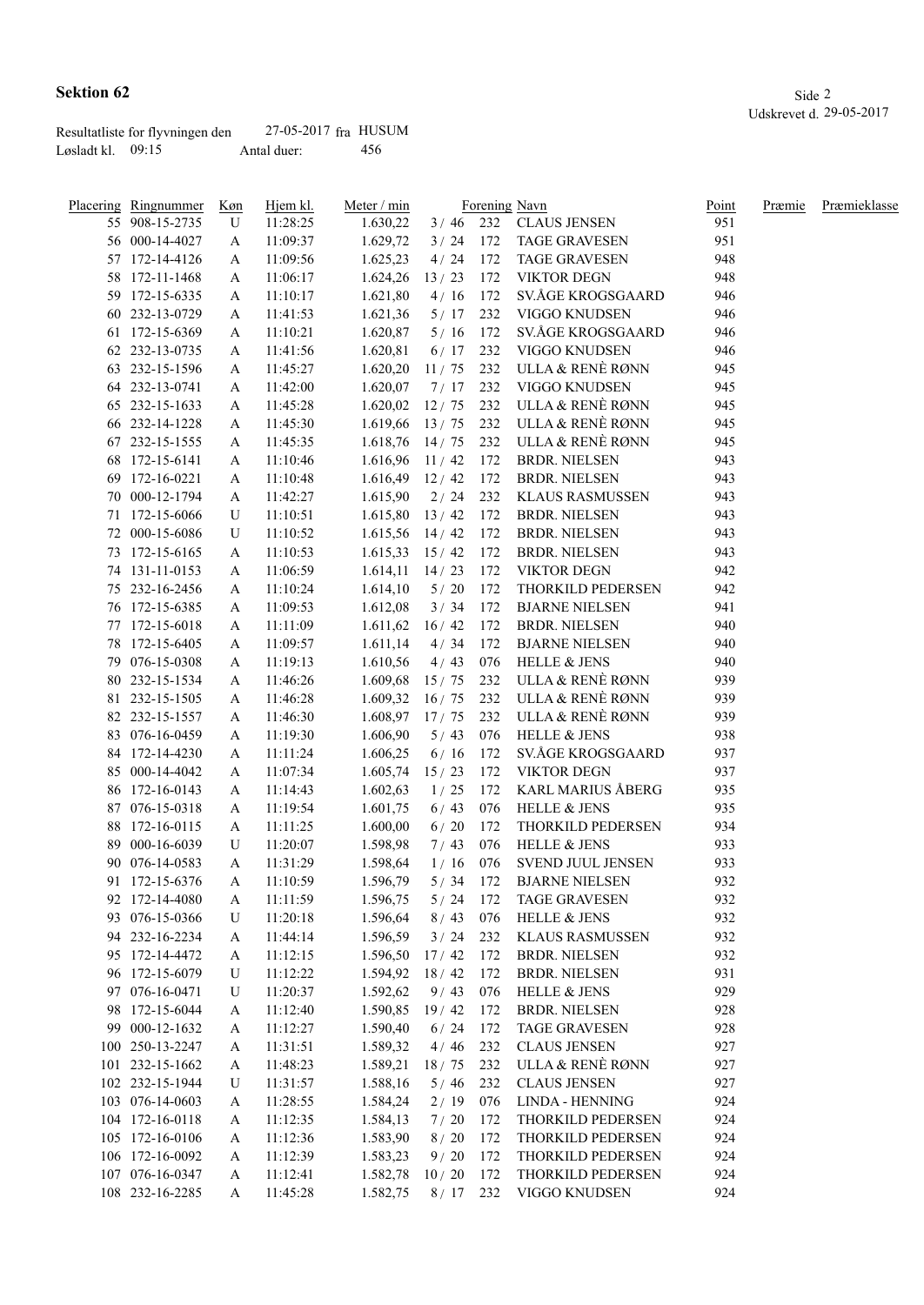| Resultatliste for flyvningen den | 27-05-2017 fra HUSUM |      |
|----------------------------------|----------------------|------|
| Løsladt kl. $09:15$              | Antal duer:          | -456 |

| Placering Ringnummer | <u>Køn</u> | Hjem kl. | Meter / min        |            |     | Forening Navn            | <u>Point</u> | Præmie | Præmieklasse |
|----------------------|------------|----------|--------------------|------------|-----|--------------------------|--------------|--------|--------------|
| 55 908-15-2735       | U          | 11:28:25 | 1.630,22           |            |     | 3 / 46 232 CLAUS JENSEN  | 951          |        |              |
| 56 000-14-4027       | A          | 11:09:37 | 1.629,72           |            |     | 3 / 24 172 TAGE GRAVESEN | 951          |        |              |
| 57 172-14-4126       | A          | 11:09:56 | 1.625,23           | $4/24$ 172 |     | <b>TAGE GRAVESEN</b>     | 948          |        |              |
| 58 172-11-1468       | A          | 11:06:17 | 1.624,26           | 13/23      | 172 | VIKTOR DEGN              | 948          |        |              |
| 59 172-15-6335       | A          | 11:10:17 | 1.621,80           | 4/16       | 172 | SV.ÅGE KROGSGAARD        | 946          |        |              |
| 60 232-13-0729       | A          | 11:41:53 | 1.621,36           | 5/17       | 232 | VIGGO KNUDSEN            | 946          |        |              |
| 61 172-15-6369       | A          | 11:10:21 | 1.620,87           | 5/16       | 172 | SV.ÅGE KROGSGAARD        | 946          |        |              |
| 62 232-13-0735       | A          | 11:41:56 | 1.620,81           | 6/17       | 232 | VIGGO KNUDSEN            | 946          |        |              |
| 63 232-15-1596       | A          | 11:45:27 | 1.620,20           | 11/75      | 232 | ULLA & RENÈ RØNN         | 945          |        |              |
| 64 232-13-0741       | A          | 11:42:00 | 1.620,07           | $7/17$ 232 |     | VIGGO KNUDSEN            | 945          |        |              |
| 65 232-15-1633       | A          | 11:45:28 | 1.620,02           | 12/75      |     | 232 ULLA & RENÈ RØNN     | 945          |        |              |
| 66 232-14-1228       | A          | 11:45:30 | 1.619,66           | 13/75      |     | 232 ULLA & RENÈ RØNN     | 945          |        |              |
| 67 232-15-1555       | A          | 11:45:35 | $1.618,76$ 14 / 75 |            |     | 232 ULLA & RENÈ RØNN     | 945          |        |              |
| 68 172-15-6141       | A          | 11:10:46 | $1.616,96$ 11/42   |            | 172 | <b>BRDR. NIELSEN</b>     | 943          |        |              |
| 69 172-16-0221       | A          | 11:10:48 | $1.616,49$ 12/42   |            | 172 | <b>BRDR. NIELSEN</b>     | 943          |        |              |
| 70 000-12-1794       | A          | 11:42:27 | 1.615,90           | 2/24       | 232 | KLAUS RASMUSSEN          | 943          |        |              |
| 71 172-15-6066       | U          | 11:10:51 | 1.615,80           | 13/42      | 172 | <b>BRDR. NIELSEN</b>     | 943          |        |              |
| 72 000-15-6086       | U          | 11:10:52 | $1.615,56$ 14/42   |            | 172 | <b>BRDR. NIELSEN</b>     | 943          |        |              |
| 73 172-15-6165       | A          | 11:10:53 | $1.615,33$ $15/42$ |            |     | 172 BRDR. NIELSEN        | 943          |        |              |
| 74 131-11-0153       | A          | 11:06:59 | 1.614,11           | 14/23      | 172 | VIKTOR DEGN              | 942          |        |              |
| 75 232-16-2456       | A          | 11:10:24 | 1.614,10           | 5/20       | 172 | THORKILD PEDERSEN        | 942          |        |              |
| 76 172-15-6385       | A          | 11:09:53 | 1.612,08           | 3/34       | 172 | <b>BJARNE NIELSEN</b>    | 941          |        |              |
| 77 172-15-6018       | A          | 11:11:09 | 1.611,62           | 16/42      | 172 | <b>BRDR. NIELSEN</b>     | 940          |        |              |
| 78 172-15-6405       |            |          |                    | 4/34       | 172 | <b>BJARNE NIELSEN</b>    | 940          |        |              |
|                      | A          | 11:09:57 | 1.611,14           |            |     | <b>HELLE &amp; JENS</b>  | 940          |        |              |
| 79 076-15-0308       | A          | 11:19:13 | 1.610,56           | 4/43       | 076 | 232 ULLA & RENÈ RØNN     | 939          |        |              |
| 80 232-15-1534       | A          | 11:46:26 | 1.609,68           | 15/75      |     |                          |              |        |              |
| 81 232-15-1505       | A          | 11:46:28 | 1.609,32           | 16/75      |     | 232 ULLA & RENÈ RØNN     | 939          |        |              |
| 82 232-15-1557       | A          | 11:46:30 | 1.608,97           | 17/75      | 232 | ULLA & RENÈ RØNN         | 939          |        |              |
| 83 076-16-0459       | A          | 11:19:30 | 1.606,90           | 5/43       | 076 | <b>HELLE &amp; JENS</b>  | 938          |        |              |
| 84 172-14-4230       | A          | 11:11:24 | 1.606,25           | 6/16       | 172 | SV.ÅGE KROGSGAARD        | 937          |        |              |
| 85 000-14-4042       | A          | 11:07:34 | 1.605,74           | 15/23      | 172 | <b>VIKTOR DEGN</b>       | 937          |        |              |
| 86 172-16-0143       | A          | 11:14:43 | 1.602,63           | $1/25$ 172 |     | KARL MARIUS ÅBERG        | 935          |        |              |
| 87 076-15-0318       | A          | 11:19:54 | 1.601,75           | 6/43       | 076 | <b>HELLE &amp; JENS</b>  | 935          |        |              |
| 88 172-16-0115       | A          | 11:11:25 | 1.600,00           | 6/20       | 172 | THORKILD PEDERSEN        | 934          |        |              |
| 89 000-16-6039       | U          | 11:20:07 | 1.598,98           | 7/43       | 076 | <b>HELLE &amp; JENS</b>  | 933          |        |              |
| 90 076-14-0583       | A          | 11:31:29 | 1.598,64           | 1/16       | 076 | SVEND JUUL JENSEN        | 933          |        |              |
| 91 172-15-6376       | A          | 11:10:59 | 1.596,79           | $5/34$ 172 |     | <b>BJARNE NIELSEN</b>    | 932          |        |              |
| 92 172-14-4080       | A          | 11:11:59 | 1.596,75           | 5/24       | 172 | <b>TAGE GRAVESEN</b>     | 932          |        |              |
| 93 076-15-0366       | U          | 11:20:18 | 1.596,64           | 8/43       | 076 | <b>HELLE &amp; JENS</b>  | 932          |        |              |
| 94 232-16-2234       | A          | 11:44:14 | 1.596,59           | 3/24       | 232 | <b>KLAUS RASMUSSEN</b>   | 932          |        |              |
| 95 172-14-4472       | A          | 11:12:15 | 1.596,50           | 17/42      | 172 | <b>BRDR. NIELSEN</b>     | 932          |        |              |
| 96 172-15-6079       | U          | 11:12:22 | 1.594,92           | 18/42      | 172 | <b>BRDR. NIELSEN</b>     | 931          |        |              |
| 97 076-16-0471       | U          | 11:20:37 | 1.592,62           | 9/43       | 076 | <b>HELLE &amp; JENS</b>  | 929          |        |              |
| 98 172-15-6044       | A          | 11:12:40 | 1.590,85           | 19/42      | 172 | <b>BRDR. NIELSEN</b>     | 928          |        |              |
| 99 000-12-1632       | A          | 11:12:27 | 1.590,40           | 6/24       | 172 | <b>TAGE GRAVESEN</b>     | 928          |        |              |
| 100 250-13-2247      | A          | 11:31:51 | 1.589,32           | 4/46       | 232 | <b>CLAUS JENSEN</b>      | 927          |        |              |
| 101 232-15-1662      | A          | 11:48:23 | 1.589,21           | 18/75      | 232 | ULLA & RENÈ RØNN         | 927          |        |              |
| 102 232-15-1944      | U          | 11:31:57 | 1.588,16           | $5/46$     | 232 | <b>CLAUS JENSEN</b>      | 927          |        |              |
| 103 076-14-0603      | A          | 11:28:55 | 1.584,24           | 2/19       | 076 | LINDA - HENNING          | 924          |        |              |
| 104 172-16-0118      | A          | 11:12:35 | 1.584,13           | 7/20       | 172 | THORKILD PEDERSEN        | 924          |        |              |
| 105 172-16-0106      | A          | 11:12:36 | 1.583,90           | 8/20       | 172 | THORKILD PEDERSEN        | 924          |        |              |
| 106 172-16-0092      | A          | 11:12:39 | 1.583,23           | 9/20       | 172 | THORKILD PEDERSEN        | 924          |        |              |
| 107 076-16-0347      | A          | 11:12:41 | 1.582,78           | 10/20      | 172 | THORKILD PEDERSEN        | 924          |        |              |
| 108 232-16-2285      | A          | 11:45:28 | 1.582,75           | $8/17$ 232 |     | VIGGO KNUDSEN            | 924          |        |              |
|                      |            |          |                    |            |     |                          |              |        |              |